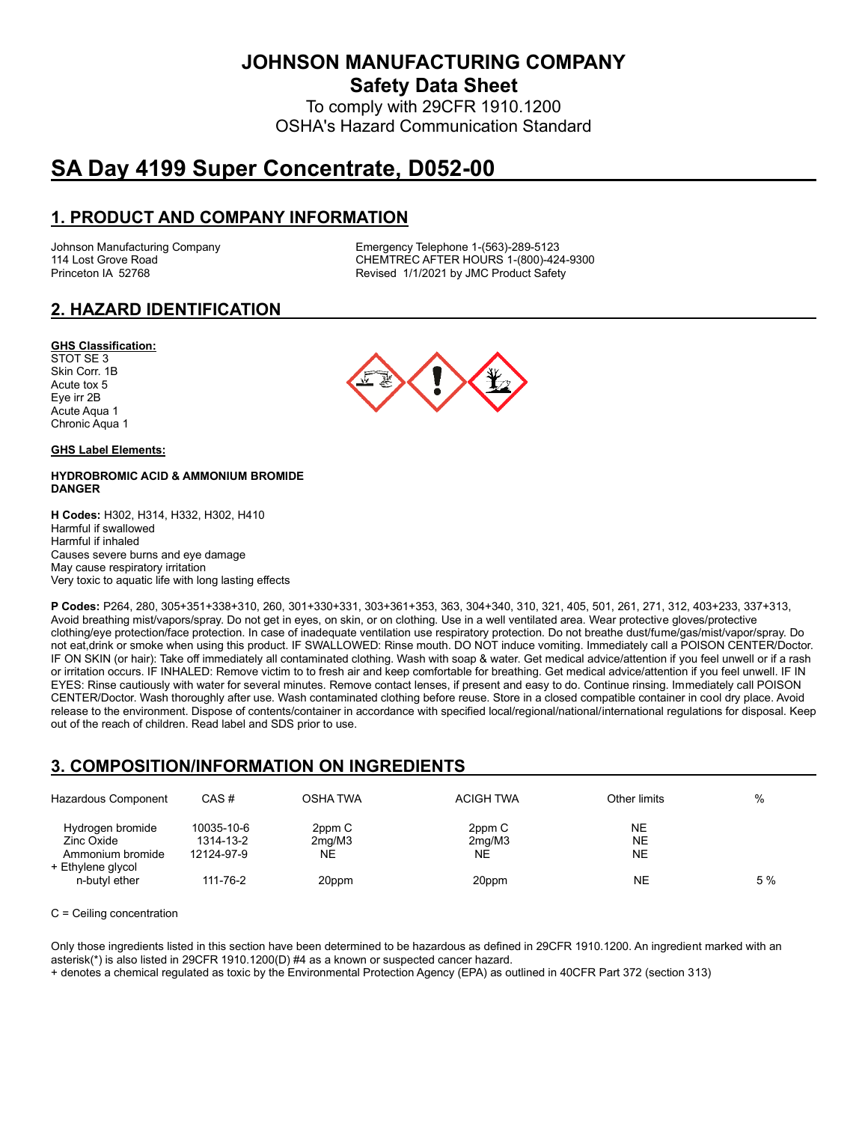**JOHNSON MANUFACTURING COMPANY**

**Safety Data Sheet**

To comply with 29CFR 1910.1200 OSHA's Hazard Communication Standard

# **SA Day 4199 Super Concentrate, D052-00**

# **1. PRODUCT AND COMPANY INFORMATION**

Johnson Manufacturing Company Emergency Telephone 1-(563)-289-5123 114 Lost Grove Road Theory Chemister Chemister Chemister Chemister Chemister Chemister Chemister Chemister Chem<br>Chemister Chemister Revised 1/1/2021 by JMC Product Safety Revised 1/1/2021 by JMC Product Safety

# **2. HAZARD IDENTIFICATION**

#### **GHS Classification:**

STOT SE 3 Skin Corr. 1B Acute tox 5 Eye irr 2B Acute Aqua 1 Chronic Aqua 1

#### **GHS Label Elements:**

#### **HYDROBROMIC ACID & AMMONIUM BROMIDE DANGER**

**H Codes:** H302, H314, H332, H302, H410 Harmful if swallowed Harmful if inhaled Causes severe burns and eye damage May cause respiratory irritation Very toxic to aquatic life with long lasting effects

**P Codes:** P264, 280, 305+351+338+310, 260, 301+330+331, 303+361+353, 363, 304+340, 310, 321, 405, 501, 261, 271, 312, 403+233, 337+313, Avoid breathing mist/vapors/spray. Do not get in eyes, on skin, or on clothing. Use in a well ventilated area. Wear protective gloves/protective clothing/eye protection/face protection. In case of inadequate ventilation use respiratory protection. Do not breathe dust/fume/gas/mist/vapor/spray. Do not eat,drink or smoke when using this product. IF SWALLOWED: Rinse mouth. DO NOT induce vomiting. Immediately call a POISON CENTER/Doctor. IF ON SKIN (or hair): Take off immediately all contaminated clothing. Wash with soap & water. Get medical advice/attention if you feel unwell or if a rash or irritation occurs. IF INHALED: Remove victim to to fresh air and keep comfortable for breathing. Get medical advice/attention if you feel unwell. IF IN EYES: Rinse cautiously with water for several minutes. Remove contact lenses, if present and easy to do. Continue rinsing. Immediately call POISON CENTER/Doctor. Wash thoroughly after use. Wash contaminated clothing before reuse. Store in a closed compatible container in cool dry place. Avoid release to the environment. Dispose of contents/container in accordance with specified local/regional/national/international regulations for disposal. Keep out of the reach of children. Read label and SDS prior to use.

### **3. COMPOSITION/INFORMATION ON INGREDIENTS**

| Hazardous Component                                | CAS#                                  | <b>OSHA TWA</b>        | <b>ACIGH TWA</b>       | Other limits          | $\%$ |
|----------------------------------------------------|---------------------------------------|------------------------|------------------------|-----------------------|------|
| Hydrogen bromide<br>Zinc Oxide<br>Ammonium bromide | 10035-10-6<br>1314-13-2<br>12124-97-9 | 2ppm C<br>2mg/M3<br>ΝE | 2ppm C<br>2mq/M3<br>NE | NE<br>NE<br><b>NE</b> |      |
| + Ethylene glycol<br>n-butyl ether                 | 111-76-2                              | 20ppm                  | 20ppm                  | NE                    | 5 %  |

#### C = Ceiling concentration

Only those ingredients listed in this section have been determined to be hazardous as defined in 29CFR 1910.1200. An ingredient marked with an asterisk(\*) is also listed in 29CFR 1910.1200(D) #4 as a known or suspected cancer hazard.

+ denotes a chemical regulated as toxic by the Environmental Protection Agency (EPA) as outlined in 40CFR Part 372 (section 313)

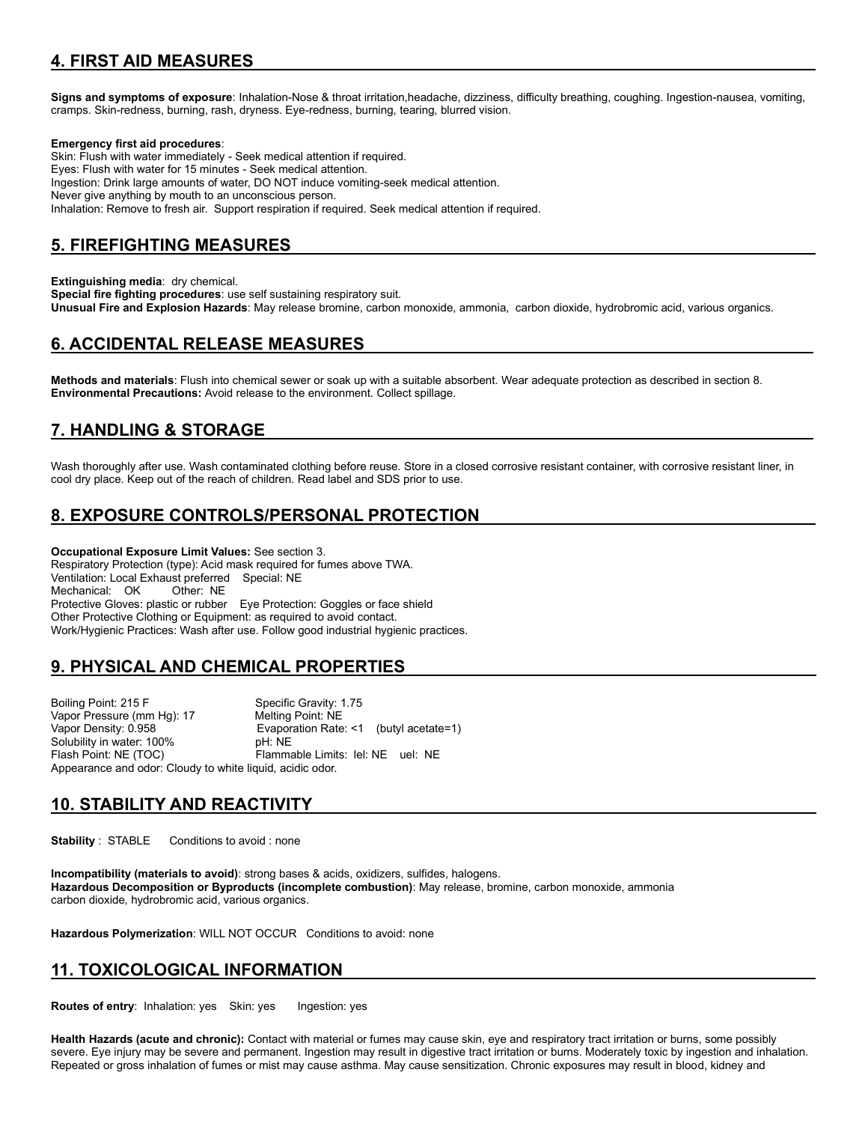# **4. FIRST AID MEASURES**

**Signs and symptoms of exposure**: Inhalation-Nose & throat irritation,headache, dizziness, difficulty breathing, coughing. Ingestion-nausea, vomiting, cramps. Skin-redness, burning, rash, dryness. Eye-redness, burning, tearing, blurred vision.

#### **Emergency first aid procedures**:

Skin: Flush with water immediately - Seek medical attention if required. Eyes: Flush with water for 15 minutes - Seek medical attention. Ingestion: Drink large amounts of water, DO NOT induce vomiting-seek medical attention. Never give anything by mouth to an unconscious person. Inhalation: Remove to fresh air. Support respiration if required. Seek medical attention if required.

### **5. FIREFIGHTING MEASURES**

**Extinguishing media**: dry chemical.

**Special fire fighting procedures**: use self sustaining respiratory suit. **Unusual Fire and Explosion Hazards**: May release bromine, carbon monoxide, ammonia, carbon dioxide, hydrobromic acid, various organics.

### **6. ACCIDENTAL RELEASE MEASURES**

**Methods and materials**: Flush into chemical sewer or soak up with a suitable absorbent. Wear adequate protection as described in section 8. **Environmental Precautions:** Avoid release to the environment. Collect spillage.

### **7. HANDLING & STORAGE**

Wash thoroughly after use. Wash contaminated clothing before reuse. Store in a closed corrosive resistant container, with corrosive resistant liner, in cool dry place. Keep out of the reach of children. Read label and SDS prior to use.

# **8. EXPOSURE CONTROLS/PERSONAL PROTECTION**

**Occupational Exposure Limit Values:** See section 3. Respiratory Protection (type): Acid mask required for fumes above TWA. Ventilation: Local Exhaust preferred Special: NE Mechanical: OK Other: NE Protective Gloves: plastic or rubber Eye Protection: Goggles or face shield Other Protective Clothing or Equipment: as required to avoid contact. Work/Hygienic Practices: Wash after use. Follow good industrial hygienic practices.

# **9. PHYSICAL AND CHEMICAL PROPERTIES**

Boiling Point: 215 F Specific Gravity: 1.75 Vapor Pressure (mm Hg): 17 Vapor Density: 0.958 Evaporation Rate: <1 (butyl acetate=1) Solubility in water: 100% Flash Point: NE (TOC) Flammable Limits: lel: NE uel: NE Appearance and odor: Cloudy to white liquid, acidic odor.

### **10. STABILITY AND REACTIVITY**

**Stability** : STABLE Conditions to avoid : none

**Incompatibility (materials to avoid)**: strong bases & acids, oxidizers, sulfides, halogens. **Hazardous Decomposition or Byproducts (incomplete combustion)**: May release, bromine, carbon monoxide, ammonia carbon dioxide, hydrobromic acid, various organics.

**Hazardous Polymerization**: WILL NOT OCCUR Conditions to avoid: none

# **11. TOXICOLOGICAL INFORMATION**

**Routes of entry: Inhalation: yes Skin: yes Ingestion: yes** 

**Health Hazards (acute and chronic):** Contact with material or fumes may cause skin, eye and respiratory tract irritation or burns, some possibly severe. Eye injury may be severe and permanent. Ingestion may result in digestive tract irritation or burns. Moderately toxic by ingestion and inhalation. Repeated or gross inhalation of fumes or mist may cause asthma. May cause sensitization. Chronic exposures may result in blood, kidney and